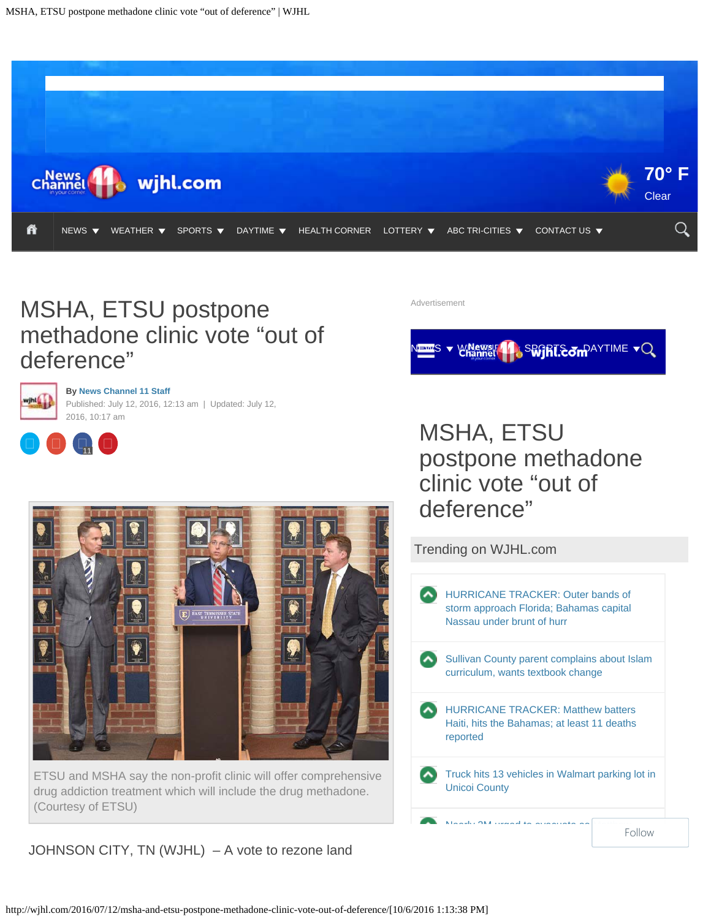<span id="page-0-0"></span>

## MSHA, ETSU postpone methadone clinic vote "out of deference"



**By [News Channel 11 Staff](http://wjhl.com/author/news-channel-11-staff/)** Published: July 12, 2016, 12:13 am | Updated: July 12,



2016, 10:17 am



ETSU and MSHA say the non-profit clinic will offer comprehensive drug addiction treatment which will include the drug methadone. (Courtesy of ETSU)

JOHNSON CITY, TN (WJHL) – A vote to rezone land

Advertisement

### SEGRISOMPAYTIME VQ

## MSHA, ETSU postpone methadone clinic vote "out of deference"

Trending on WJHL.com [HURRICANE TRACKER: Outer bands of](http://wjhl.com/2016/10/06/hurricane-tracker-outer-bands-of-storm-approach-florida/) [storm approach Florida; Bahamas capital](http://wjhl.com/2016/10/06/hurricane-tracker-outer-bands-of-storm-approach-florida/) [Nassau under brunt of hurr](http://wjhl.com/2016/10/06/hurricane-tracker-outer-bands-of-storm-approach-florida/) [Sullivan County parent complains about Islam](http://wjhl.com/2016/10/03/parent-complains-about-islam-curriculum-wants-textbook-change/) [curriculum, wants textbook change](http://wjhl.com/2016/10/03/parent-complains-about-islam-curriculum-wants-textbook-change/) [HURRICANE TRACKER: Matthew batters](http://wjhl.com/2016/10/04/category-4-hurricane-matthew-makes-landfall-in-western-haiti/) [Haiti, hits the Bahamas; at least 11 deaths](http://wjhl.com/2016/10/04/category-4-hurricane-matthew-makes-landfall-in-western-haiti/) [reported](http://wjhl.com/2016/10/04/category-4-hurricane-matthew-makes-landfall-in-western-haiti/) [Truck hits 13 vehicles in Walmart parking lot in](http://wjhl.com/2016/10/05/truck-hits-dozens-of-vehicles-in-walmart-parking-lot-in-unicoi-co/) [Unicoi County](http://wjhl.com/2016/10/05/truck-hits-dozens-of-vehicles-in-walmart-parking-lot-in-unicoi-co/)

[Nearly 2M urged to evacuate as Matthew](http://wjhl.com/2016/10/06/nearly-2m-urged-to-evacuate-as-matthew-edges-toward-us/)

Follow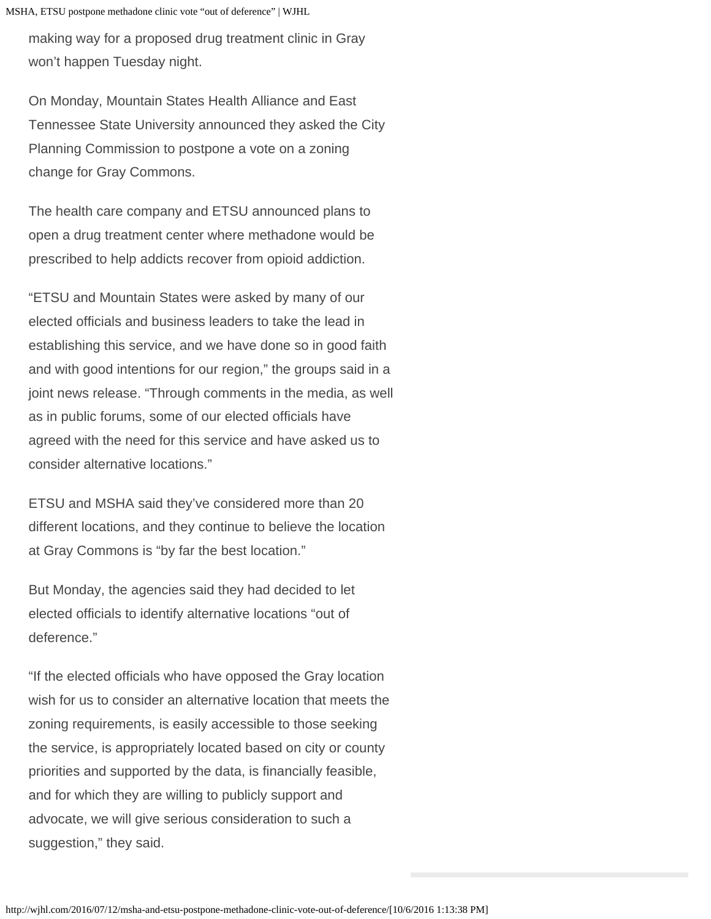MSHA, ETSU postpone methadone clinic vote "out of deference" | WJHL

making way for a proposed drug treatment clinic in Gray won't happen Tuesday night.

On Monday, Mountain States Health Alliance and East Tennessee State University announced they asked the City Planning Commission to postpone a vote on a zoning change for Gray Commons.

The health care company and ETSU announced plans to open a drug treatment center where methadone would be prescribed to help addicts recover from opioid addiction.

"ETSU and Mountain States were asked by many of our elected officials and business leaders to take the lead in establishing this service, and we have done so in good faith and with good intentions for our region," the groups said in a joint news release. "Through comments in the media, as well as in public forums, some of our elected officials have agreed with the need for this service and have asked us to consider alternative locations."

ETSU and MSHA said they've considered more than 20 different locations, and they continue to believe the location at Gray Commons is "by far the best location."

But Monday, the agencies said they had decided to let elected officials to identify alternative locations "out of deference."

"If the elected officials who have opposed the Gray location wish for us to consider an alternative location that meets the zoning requirements, is easily accessible to those seeking the service, is appropriately located based on city or county priorities and supported by the data, is financially feasible, and for which they are willing to publicly support and advocate, we will give serious consideration to such a suggestion," they said.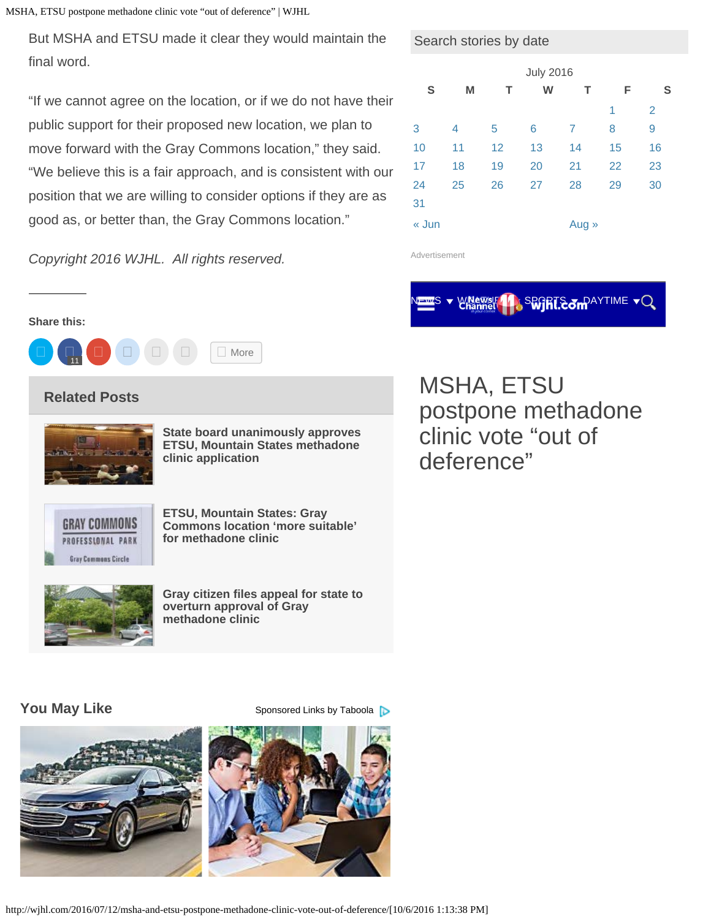MSHA, ETSU postpone methadone clinic vote "out of deference" | WJHL

But MSHA and ETSU made it clear they would maintain the final word.

"If we cannot agree on the location, or if we do not have their public support for their proposed new location, we plan to move forward with the Gray Commons location," they said. "We believe this is a fair approach, and is consistent with our position that we are willing to consider options if they are as good as, or better than, the Gray Commons location."

| Copyright 2016 WJHL. All rights reserved. |  |  |
|-------------------------------------------|--|--|
|                                           |  |  |

#### Search stories by date

| <b>July 2016</b> |    |    |    |       |    |                |  |
|------------------|----|----|----|-------|----|----------------|--|
| S                | M  | т  | W  | т     | F  | S              |  |
|                  |    |    |    |       | 1  | $\overline{2}$ |  |
| 3                | 4  | 5  | 6  | 7     | 8  | 9              |  |
| 10               | 11 | 12 | 13 | 14    | 15 | 16             |  |
| 17               | 18 | 19 | 20 | 21    | 22 | 23             |  |
| 24               | 25 | 26 | 27 | 28    | 29 | 30             |  |
| 31               |    |    |    |       |    |                |  |
| « Jun            |    |    |    | Aug » |    |                |  |

Advertisement

### SEGRIE SON AYTIME

#### **Share this:**



### **Related Posts**



**[State board unanimously approves](http://wjhl.com/2016/08/23/two-county-commissioners-going-to-nashville-to-speak-against-etsu-mountain-states-methadone-clinic-application/) [ETSU, Mountain States methadone](http://wjhl.com/2016/08/23/two-county-commissioners-going-to-nashville-to-speak-against-etsu-mountain-states-methadone-clinic-application/) [clinic application](http://wjhl.com/2016/08/23/two-county-commissioners-going-to-nashville-to-speak-against-etsu-mountain-states-methadone-clinic-application/)**



**[ETSU, Mountain States: Gray](http://wjhl.com/2016/08/05/new-site-proposed-for-etsu-mountain-states-methadone-clinic/) [Commons location 'more suitable'](http://wjhl.com/2016/08/05/new-site-proposed-for-etsu-mountain-states-methadone-clinic/) [for methadone clinic](http://wjhl.com/2016/08/05/new-site-proposed-for-etsu-mountain-states-methadone-clinic/)**



**[Gray citizen files appeal for state to](http://wjhl.com/2016/09/09/gray-citizen-files-appeal-for-state-to-overturn-approval-of-gray-methadone-clinic/) [overturn approval of Gray](http://wjhl.com/2016/09/09/gray-citizen-files-appeal-for-state-to-overturn-approval-of-gray-methadone-clinic/) [methadone clinic](http://wjhl.com/2016/09/09/gray-citizen-files-appeal-for-state-to-overturn-approval-of-gray-methadone-clinic/)**

## MSHA, ETSU postpone methadone clinic vote "out of deference"

**You May Like** [Sponsored Links](http://popup.taboola.com/en/?template=colorbox&taboola_utm_source=mediageneral-wjhl&taboola_utm_medium=bytaboola&taboola_utm_content=thumbnails-a:Below Article Thumbnails:) [by Taboola](http://popup.taboola.com/en/?template=colorbox&taboola_utm_source=mediageneral-wjhl&taboola_utm_medium=bytaboola&taboola_utm_content=thumbnails-a:Below Article Thumbnails:)





http://wjhl.com/2016/07/12/msha-and-etsu-postpone-methadone-clinic-vote-out-of-deference/[10/6/2016 1:13:38 PM]